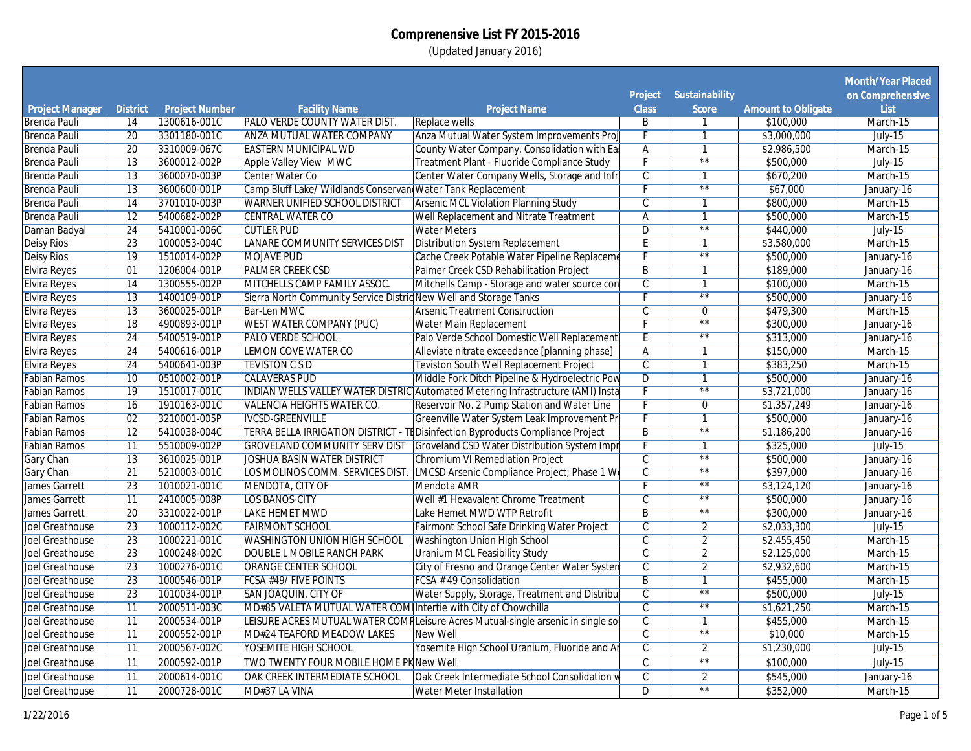|                                               |                       |                                       |                                                                   |                                                                                 |                          |                                     |                                        | <b>Month/Year Placed</b> |
|-----------------------------------------------|-----------------------|---------------------------------------|-------------------------------------------------------------------|---------------------------------------------------------------------------------|--------------------------|-------------------------------------|----------------------------------------|--------------------------|
|                                               |                       |                                       |                                                                   |                                                                                 | <b>Project</b>           | <b>Sustainability</b>               |                                        | on Comprehensive         |
| <b>Project Manager</b><br><b>Brenda Pauli</b> | <b>District</b><br>14 | <b>Project Number</b><br>1300616-001C | <b>Facility Name</b><br><b>PALO VERDE COUNTY WATER DIST.</b>      | <b>Project Name</b><br><b>Replace wells</b>                                     | <b>Class</b><br>B        | <b>Score</b><br>$\mathbf{1}$        | <b>Amount to Obligate</b><br>\$100,000 | List<br>March-15         |
| <b>Brenda Pauli</b>                           | $\overline{20}$       | 3301180-001C                          | <b>ANZA MUTUAL WATER COMPANY</b>                                  | Anza Mutual Water System Improvements Proj                                      |                          | $\overline{1}$                      | \$3,000,000                            | <b>July-15</b>           |
| <b>Brenda Pauli</b>                           | 20                    | 3310009-067C                          | <b>EASTERN MUNICIPAL WD</b>                                       | County Water Company, Consolidation with Eas                                    | $\overline{A}$           | $\mathbf{1}$                        | \$2,986,500                            | March-15                 |
|                                               | $\overline{13}$       |                                       | <b>Apple Valley View MWC</b>                                      | Treatment Plant - Fluoride Compliance Study                                     | τ                        | $\overline{**}$                     |                                        |                          |
| <b>Brenda Pauli</b>                           | $\overline{13}$       | 3600012-002P                          |                                                                   |                                                                                 |                          | $\mathbf{1}$                        | \$500,000                              | $July-15$                |
| <b>Brenda Pauli</b>                           |                       | 3600070-003P                          | <b>Center Water Co</b>                                            | Center Water Company Wells, Storage and Infri                                   | $\overline{\mathsf{C}}$  | $\overline{\ast}$                   | \$670,200                              | March-15                 |
| <b>Brenda Pauli</b>                           | $\overline{13}$       | 3600600-001P                          | Camp Bluff Lake/ Wildlands Conservan Water Tank Replacement       |                                                                                 |                          |                                     | \$67,000                               | January-16               |
| <b>Brenda Pauli</b>                           | $\overline{14}$       | 3701010-003P                          | <b>WARNER UNIFIED SCHOOL DISTRICT</b>                             | <b>Arsenic MCL Violation Planning Study</b>                                     | $\overline{C}$           | $\mathbf{1}$                        | \$800,000                              | March-15                 |
| <b>Brenda Pauli</b>                           | $\overline{12}$       | 5400682-002P                          | <b>CENTRAL WATER CO</b>                                           | <b>Well Replacement and Nitrate Treatment</b>                                   | $\overline{A}$           | 1<br>$\overline{\star}$             | \$500,000                              | March-15                 |
| Daman Badyal                                  | 24                    | 5410001-006C                          | <b>CUTLER PUD</b>                                                 | <b>Water Meters</b>                                                             | $\overline{D}$           |                                     | \$440,000                              | <b>July-15</b>           |
| <b>Deisy Rios</b>                             | $\overline{23}$       | 1000053-004C                          | LANARE COMMUNITY SERVICES DIST                                    | <b>Distribution System Replacement</b>                                          | Έ                        | $\mathbf{1}$                        | \$3,580,000                            | March-15                 |
| <b>Deisy Rios</b>                             | $\overline{19}$       | 1510014-002P                          | <b>MOJAVE PUD</b>                                                 | Cache Creek Potable Water Pipeline Replaceme                                    |                          | $\overline{\ast}$                   | \$500,000                              | January-16               |
| <b>Elvira Reyes</b>                           | 01                    | 1206004-001P                          | <b>PALMER CREEK CSD</b>                                           | Palmer Creek CSD Rehabilitation Project                                         | $\overline{B}$           | $\mathbf{1}$                        | \$189,000                              | January-16               |
| <b>Elvira Reyes</b>                           | $\overline{14}$       | 1300555-002P                          | MITCHELLS CAMP FAMILY ASSOC.                                      | Mitchells Camp - Storage and water source con                                   | $\overline{c}$           | $\mathbf{1}$                        | \$100,000                              | March-15                 |
| <b>Elvira Reyes</b>                           | $\overline{13}$       | 1400109-001P                          | Sierra North Community Service Distric New Well and Storage Tanks |                                                                                 |                          | $\overline{\star\star}$             | \$500,000                              | January-16               |
| <b>Elvira Reyes</b>                           | $\overline{13}$       | 3600025-001P                          | <b>Bar-Len MWC</b>                                                | <b>Arsenic Treatment Construction</b>                                           | $\overline{\mathsf{C}}$  | $\overline{0}$                      | \$479,300                              | March-15                 |
| <b>Elvira Reyes</b>                           | $\overline{18}$       | 4900893-001P                          | <b>WEST WATER COMPANY (PUC)</b>                                   | <b>Water Main Replacement</b>                                                   |                          | $\overline{**}$                     | \$300,000                              | January-16               |
| <b>Elvira Reyes</b>                           | $\overline{24}$       | 5400519-001P                          | <b>PALO VERDE SCHOOL</b>                                          | Palo Verde School Domestic Well Replacement                                     | Έ                        | $\overline{**}$                     | \$313,000                              | January-16               |
| <b>Elvira Reyes</b>                           | $\overline{24}$       | 5400616-001P                          | <b>LEMON COVE WATER CO</b>                                        | Alleviate nitrate exceedance [planning phase]                                   | $\overline{A}$           | 1                                   | \$150,000                              | March-15                 |
| <b>Elvira Reyes</b>                           | $\overline{24}$       | 5400641-003P                          | <b>TEVISTON C S D</b>                                             | <b>Teviston South Well Replacement Project</b>                                  | $\overline{C}$           | $\mathbf{1}$                        | \$383,250                              | March-15                 |
| <b>Fabian Ramos</b>                           | $\overline{10}$       | 0510002-001P                          | <b>CALAVERAS PUD</b>                                              | Middle Fork Ditch Pipeline & Hydroelectric Pow                                  | $\overline{D}$           | $\overline{1}$                      | \$500,000                              | January-16               |
| <b>Fabian Ramos</b>                           | 19                    | 1510017-001C                          |                                                                   | INDIAN WELLS VALLEY WATER DISTRIC Automated Metering Infrastructure (AMI) Insta |                          | $\overline{\star\star}$             | \$3,721,000                            | January-16               |
| <b>Fabian Ramos</b>                           | 16                    | 1910163-001C                          | <b>VALENCIA HEIGHTS WATER CO.</b>                                 | Reservoir No. 2 Pump Station and Water Line                                     |                          | $\overline{0}$                      | \$1,357,249                            | January-16               |
| <b>Fabian Ramos</b>                           | 02                    | 3210001-005P                          | <b>IVCSD-GREENVILLE</b>                                           | Greenville Water System Leak Improvement Pr                                     | $\overline{F}$           | $\overline{1}$                      | \$500,000                              | January-16               |
| <b>Fabian Ramos</b>                           | 12                    | 5410038-004C                          |                                                                   | TERRA BELLA IRRIGATION DISTRICT - TE Disinfection Byproducts Compliance Project | $\overline{B}$           | $\overline{\star\star}$             | \$1,186,200                            | January-16               |
| <b>Fabian Ramos</b>                           | $\overline{11}$       | 5510009-002P                          | <b>GROVELAND COMMUNITY SERV DIST</b>                              | Groveland CSD Water Distribution System Impr                                    | Е                        | $\mathbf{1}$                        | \$325,000                              | $July-15$                |
| <b>Gary Chan</b>                              | $\overline{13}$       | 3610025-001P                          | JOSHUA BASIN WATER DISTRICT                                       | <b>Chromium VI Remediation Project</b>                                          | $\overline{c}$           | $\overline{\star\star}$             | \$500,000                              | January-16               |
| <b>Gary Chan</b>                              | $\overline{21}$       | 5210003-001C                          |                                                                   | LOS MOLINOS COMM. SERVICES DIST. LMCSD Arsenic Compliance Project; Phase 1 We   | $\overline{\mathbb{C}}$  | $\overline{\star\star}$             | \$397,000                              | January-16               |
| James Garrett                                 | $\overline{23}$       | 1010021-001C                          | MENDOTA, CITY OF                                                  | Mendota AMR                                                                     | $\overline{F}$           | $**$                                | \$3,124,120                            | January-16               |
| <b>James Garrett</b>                          | $\overline{11}$       | 2410005-008P                          | <b>LOS BANOS-CITY</b>                                             | Well #1 Hexavalent Chrome Treatment                                             | $\overline{c}$           | $\overline{**}$                     | \$500,000                              | January-16               |
| <b>James Garrett</b>                          | $\overline{20}$       | 3310022-001P                          | <b>LAKE HEMET MWD</b>                                             | Lake Hemet MWD WTP Retrofit                                                     | $\overline{B}$           | $\overline{\ast}$                   | \$300,000                              | January-16               |
| Joel Greathouse                               | $\overline{23}$       | 1000112-002C                          | <b>FAIRMONT SCHOOL</b>                                            | <b>Fairmont School Safe Drinking Water Project</b>                              | C                        | 2                                   | \$2,033,300                            | $July-15$                |
| <b>Joel Greathouse</b>                        | $\overline{23}$       | 1000221-001C                          | WASHINGTON UNION HIGH SCHOOL                                      | <b>Washington Union High School</b>                                             | $\overline{C}$           | $\overline{2}$                      | \$2,455,450                            | March-15                 |
| <b>Joel Greathouse</b>                        | $\overline{23}$       | 1000248-002C                          | DOUBLE L MOBILE RANCH PARK                                        | <b>Uranium MCL Feasibility Study</b>                                            | $\overline{C}$           | $\overline{2}$                      | \$2,125,000                            | March-15                 |
| Joel Greathouse                               | $\overline{23}$       | 1000276-001C                          | <b>ORANGE CENTER SCHOOL</b>                                       | City of Fresno and Orange Center Water Systen                                   | $\overline{C}$           | $\overline{2}$                      | \$2,932,600                            | March-15                 |
| Joel Greathouse                               | $\overline{23}$       | 1000546-001P                          | <b>FCSA #49/ FIVE POINTS</b>                                      | <b>FCSA #49 Consolidation</b>                                                   | $\overline{B}$           | $\overline{1}$                      | \$455,000                              | March-15                 |
| <b>Joel Greathouse</b>                        | $\overline{23}$       | 1010034-001P                          | SAN JOAQUIN, CITY OF                                              | Water Supply, Storage, Treatment and Distribut                                  | $\overline{\mathsf{C}}$  | $\overline{\phantom{1}}$            | \$500,000                              | $July-15$                |
| <b>Joel Greathouse</b>                        | 11                    | 2000511-003C                          | MD#85 VALETA MUTUAL WATER COM Intertie with City of Chowchilla    |                                                                                 | $\overline{c}$           | $\overline{\star}$                  | \$1,621,250                            | March-15                 |
| <b>Joel Greathouse</b>                        | $\overline{11}$       | 2000534-001P                          |                                                                   | LEISURE ACRES MUTUAL WATER COMFLeisure Acres Mutual-single arsenic in single so | $\overline{C}$           | $\mathbf{1}$                        | \$455,000                              | March-15                 |
| <b>Joel Greathouse</b>                        | 11                    | 2000552-001P                          | <b>MD#24 TEAFORD MEADOW LAKES</b>                                 | <b>New Well</b>                                                                 | $\overline{\mathcal{C}}$ | $\overline{\ast}$ $\overline{\ast}$ | \$10,000                               | March-15                 |
| <b>Joel Greathouse</b>                        | $\overline{11}$       | 2000567-002C                          | <b>YOSEMITE HIGH SCHOOL</b>                                       | Yosemite High School Uranium, Fluoride and Ar                                   | $\overline{\mathsf{C}}$  | $\overline{2}$                      | \$1,230,000                            | $July-15$                |
| Joel Greathouse                               | 11                    | 2000592-001P                          | <b>TWO TWENTY FOUR MOBILE HOME PK New Well</b>                    |                                                                                 | $\mathcal{C}$            | $\star\star$                        | \$100,000                              | July- $15$               |
| Joel Greathouse                               | $\overline{11}$       | 2000614-001C                          | OAK CREEK INTERMEDIATE SCHOOL                                     | Oak Creek Intermediate School Consolidation v                                   | $\mathsf C$              | $\overline{2}$                      | \$545,000                              |                          |
|                                               |                       |                                       |                                                                   |                                                                                 |                          | $\overline{**}$                     |                                        | January-16               |
| Joel Greathouse                               | 11                    | 2000728-001C                          | MD#37 LA VINA                                                     | <b>Water Meter Installation</b>                                                 | D                        |                                     | \$352,000                              | March-15                 |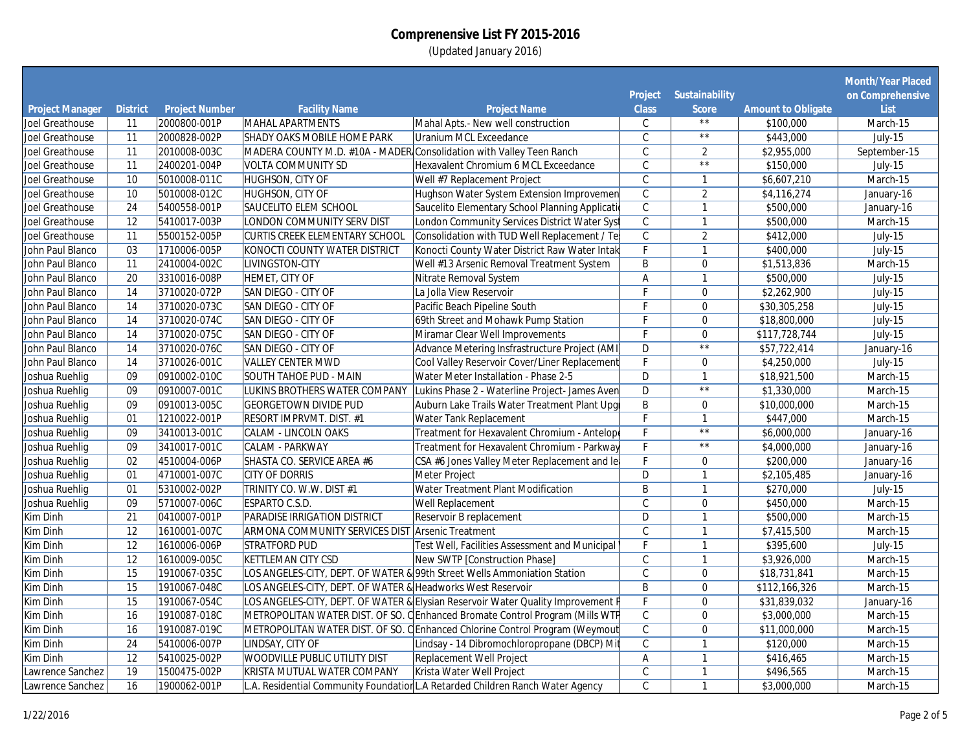|                        |                 |                              |                                                             |                                                                                                                                                                  |                           |                                  |                           | <b>Month/Year Placed</b> |
|------------------------|-----------------|------------------------------|-------------------------------------------------------------|------------------------------------------------------------------------------------------------------------------------------------------------------------------|---------------------------|----------------------------------|---------------------------|--------------------------|
|                        |                 |                              |                                                             |                                                                                                                                                                  | <b>Project</b>            | <b>Sustainability</b>            |                           | on Comprehensive         |
| <b>Project Manager</b> | <b>District</b> | <b>Project Number</b>        | <b>Facility Name</b>                                        | <b>Project Name</b>                                                                                                                                              | <b>Class</b>              | <b>Score</b>                     | <b>Amount to Obligate</b> | <b>List</b>              |
| Joel Greathouse        | 11              | 2000800-001P                 | MAHAL APARTMENTS                                            | Mahal Apts.- New well construction                                                                                                                               | С                         | $\star\,\star$<br>$\star\,\star$ | \$100,000                 | March-15                 |
| Joel Greathouse        | $\overline{11}$ | 2000828-002P                 | <b>SHADY OAKS MOBILE HOME PARK</b>                          | <b>Uranium MCL Exceedance</b>                                                                                                                                    | $\mathsf{C}$              |                                  | \$443,000                 | July-15                  |
| Joel Greathouse        | $\overline{11}$ | 2010008-003C                 |                                                             | MADERA COUNTY M.D. #10A - MADER Consolidation with Valley Teen Ranch                                                                                             | $\overline{C}$            | $\overline{2}$                   | \$2,955,000               | September-15             |
| Joel Greathouse        | $\overline{11}$ | 2400201-004P                 | <b>VOLTA COMMUNITY SD</b>                                   | Hexavalent Chromium 6 MCL Exceedance                                                                                                                             | $\mathsf{C}$              | $\overline{\star}$               | \$150,000                 | July-15                  |
| Joel Greathouse        | 10              | 5010008-011C                 | HUGHSON, CITY OF                                            | Well #7 Replacement Project                                                                                                                                      | $\overline{\mathfrak{c}}$ | $\mathbf{1}$                     | \$6,607,210               | March-15                 |
| Joel Greathouse        | 10              | 5010008-012C                 | <b>HUGHSON, CITY OF</b>                                     | Hughson Water System Extension Improvemen                                                                                                                        | $\overline{C}$            | $\overline{2}$                   | \$4,116,274               | January-16               |
| Joel Greathouse        | $\overline{24}$ | 5400558-001P                 | <b>SAUCELITO ELEM SCHOOL</b>                                | Saucelito Elementary School Planning Applicati                                                                                                                   | $\mathsf{C}$              | $\mathbf{1}$                     | \$500,000                 | January-16               |
| Joel Greathouse        | $\overline{12}$ | 5410017-003P                 | LONDON COMMUNITY SERV DIST                                  | London Community Services District Water Syst                                                                                                                    | $\overline{C}$            | $\mathbf{1}$                     | \$500,000                 | March-15                 |
| Joel Greathouse        | $\overline{11}$ | 5500152-005P                 | CURTIS CREEK ELEMENTARY SCHOOL                              | Consolidation with TUD Well Replacement / Te                                                                                                                     | $\overline{C}$            | $\overline{2}$                   | \$412,000                 | July-15                  |
| John Paul Blanco       | 03              | 1710006-005P                 | <b>KONOCTI COUNTY WATER DISTRICT</b>                        | Konocti County Water District Raw Water Intak                                                                                                                    | $\overline{F}$            | $\mathbf{1}$                     | \$400,000                 | $July-15$                |
| John Paul Blanco       | $\overline{11}$ | 2410004-002C                 | LIVINGSTON-CITY                                             | Well #13 Arsenic Removal Treatment System                                                                                                                        | B                         | $\mathbf 0$                      | \$1,513,836               | March-15                 |
| John Paul Blanco       | $\overline{20}$ | 3310016-008P                 | HEMET, CITY OF                                              | Nitrate Removal System                                                                                                                                           | $\overline{A}$            | $\mathbf{1}$                     | \$500,000                 | July-15                  |
| John Paul Blanco       | $\overline{14}$ | 3710020-072P                 | SAN DIEGO - CITY OF                                         | La Jolla View Reservoir                                                                                                                                          | F                         | $\mathbf{0}$                     | \$2,262,900               | July-15                  |
| John Paul Blanco       | $\overline{14}$ | 3710020-073C                 | SAN DIEGO - CITY OF                                         | Pacific Beach Pipeline South                                                                                                                                     | F                         | $\mathbf 0$                      | \$30,305,258              | July-15                  |
| John Paul Blanco       | $\overline{14}$ | 3710020-074C                 | SAN DIEGO - CITY OF                                         | 69th Street and Mohawk Pump Station                                                                                                                              | F                         | $\mathbf 0$                      | \$18,800,000              | $July-15$                |
| John Paul Blanco       | $\overline{14}$ | 3710020-075C                 | <b>SAN DIEGO - CITY OF</b>                                  | Miramar Clear Well Improvements                                                                                                                                  | F                         | $\mathbf{0}$                     | \$117,728,744             | July-15                  |
| John Paul Blanco       | $\overline{14}$ | 3710020-076C                 | <b>SAN DIEGO - CITY OF</b>                                  | Advance Metering Insfrastructure Project (AMI)                                                                                                                   | $\overline{D}$            | $\overline{**}$                  | \$57,722,414              | January-16               |
| John Paul Blanco       | $\overline{14}$ | 3710026-001C                 | <b>VALLEY CENTER MWD</b>                                    | Cool Valley Reservoir Cover/Liner Replacement                                                                                                                    | F                         | $\mathbf 0$                      | \$4,250,000               | July-15                  |
| Joshua Ruehlig         | $\overline{09}$ | 0910002-010C                 | SOUTH TAHOE PUD - MAIN                                      | Water Meter Installation - Phase 2-5                                                                                                                             | $\overline{D}$            | $\mathbf{1}$                     | \$18,921,500              | March-15                 |
| Joshua Ruehlig         | 09              | 0910007-001C                 | LUKINS BROTHERS WATER COMPANY                               | Lukins Phase 2 - Waterline Project- James Aven                                                                                                                   | D                         | $\star\star$                     | \$1,330,000               | March-15                 |
| Joshua Ruehlig         | 09              | 0910013-005C                 | <b>GEORGETOWN DIVIDE PUD</b>                                | Auburn Lake Trails Water Treatment Plant Upg                                                                                                                     | B                         | $\mathbf{0}$                     | \$10,000,000              | March-15                 |
| Joshua Ruehlig         | 01              | 1210022-001P                 | <b>RESORT IMPRVMT. DIST. #1</b>                             | Water Tank Replacement                                                                                                                                           | F                         | $\mathbf{1}$                     | \$447,000                 | March-15                 |
| Joshua Ruehlig         | 09              | 3410013-001C                 | CALAM - LINCOLN OAKS                                        | Treatment for Hexavalent Chromium - Antelope                                                                                                                     | F                         | $\star\,\star$                   | \$6,000,000               | January-16               |
| Joshua Ruehlig         | 09              | 3410017-001C                 | CALAM - PARKWAY                                             | Treatment for Hexavalent Chromium - Parkway                                                                                                                      | F                         | $\star\star$                     | \$4,000,000               | January-16               |
| Joshua Ruehlig         | 02              | 4510004-006P                 | SHASTA CO. SERVICE AREA #6                                  | CSA #6 Jones Valley Meter Replacement and le                                                                                                                     | F                         | $\Omega$                         | \$200,000                 | January-16               |
| Joshua Ruehlig         | 01              | 4710001-007C                 | <b>CITY OF DORRIS</b>                                       | Meter Project                                                                                                                                                    | D                         | $\mathbf{1}$                     | \$2,105,485               | January-16               |
| Joshua Ruehlig         | 01              | 5310002-002P                 | TRINITY CO. W.W. DIST #1                                    | <b>Water Treatment Plant Modification</b>                                                                                                                        | B                         | $\mathbf{1}$                     | \$270,000                 | July-15                  |
| Joshua Ruehlig         | 09              | 5710007-006C                 | <b>ESPARTO C.S.D.</b>                                       | Well Replacement                                                                                                                                                 | $\mathcal{C}$             | $\mathbf 0$                      | \$450,000                 | March-15                 |
| <b>Kim Dinh</b>        | $\overline{21}$ | 0410007-001P                 | <b>PARADISE IRRIGATION DISTRICT</b>                         | Reservoir B replacement                                                                                                                                          | $\overline{D}$            | $\mathbf{1}$                     | \$500,000                 | March-15                 |
| Kim Dinh               | $\overline{12}$ | 1610001-007C                 | <b>ARMONA COMMUNITY SERVICES DIST Arsenic Treatment</b>     |                                                                                                                                                                  | $\mathsf C$               | $\mathbf{1}$                     | \$7,415,500               | March-15                 |
| Kim Dinh               | $\overline{12}$ | 1610006-006P                 | <b>STRATFORD PUD</b>                                        | Test Well, Facilities Assessment and Municipal                                                                                                                   | F                         | $\mathbf{1}$                     | \$395,600                 | July-15                  |
| <b>Kim Dinh</b>        | $\overline{12}$ | 1610009-005C                 | <b>KETTLEMAN CITY CSD</b>                                   | New SWTP [Construction Phase]                                                                                                                                    | $\mathcal{C}$             | $\mathbf{1}$                     | \$3,926,000               | March-15                 |
| Kim Dinh               | $\overline{15}$ | 1910067-035C                 |                                                             | LOS ANGELES-CITY, DEPT. OF WATER & 99th Street Wells Ammoniation Station                                                                                         | $\mathsf{C}$              | $\boldsymbol{0}$                 | \$18,731,841              | March-15                 |
| <b>Kim Dinh</b>        | 15              | 1910067-048C                 | LOS ANGELES-CITY, DEPT. OF WATER & Headworks West Reservoir |                                                                                                                                                                  | B                         | $\mathbf 0$                      | \$112,166,326             | March-15                 |
|                        | $\overline{15}$ |                              |                                                             |                                                                                                                                                                  | F                         |                                  |                           |                          |
| <b>Kim Dinh</b>        | $\overline{16}$ | 1910067-054C<br>1910087-018C |                                                             | LOS ANGELES-CITY, DEPT. OF WATER & Elysian Reservoir Water Quality Improvement F<br>METROPOLITAN WATER DIST. OF SO. CEnhanced Bromate Control Program (Mills WTF | $\overline{C}$            | $\mathbf 0$                      | \$31,839,032              | January-16               |
| <b>Kim Dinh</b>        |                 |                              |                                                             |                                                                                                                                                                  |                           | $\mathbf{0}$                     | \$3,000,000               | March-15                 |
| <b>Kim Dinh</b>        | 16              | 1910087-019C                 |                                                             | METROPOLITAN WATER DIST. OF SO. C Enhanced Chlorine Control Program (Weymout                                                                                     | $\overline{\mathfrak{c}}$ | $\mathbf 0$                      | \$11,000,000              | March-15                 |
| Kim Dinh               | 24              | 5410006-007P                 | LINDSAY, CITY OF                                            | Lindsay - 14 Dibromochloropropane (DBCP) Mit                                                                                                                     | $\mathsf{C}$              | $\mathbf{1}$                     | \$120,000                 | March-15                 |
| <b>Kim Dinh</b>        | $\overline{12}$ | 5410025-002P                 | <b>WOODVILLE PUBLIC UTILITY DIST</b>                        | <b>Replacement Well Project</b>                                                                                                                                  | A                         | $\mathbf{1}$                     | \$416,465                 | March-15                 |
| Lawrence Sanchez       | 19              | 1500475-002P                 | KRISTA MUTUAL WATER COMPANY                                 | Krista Water Well Project                                                                                                                                        | $\mathsf{C}$              | $\mathbf{1}$                     | \$496,565                 | March-15                 |
| Lawrence Sanchez       | $\overline{16}$ | 1900062-001P                 |                                                             | L.A. Residential Community Foundatior L.A Retarded Children Ranch Water Agency                                                                                   | $\overline{\mathfrak{c}}$ | $\mathbf{1}$                     | \$3,000,000               | March-15                 |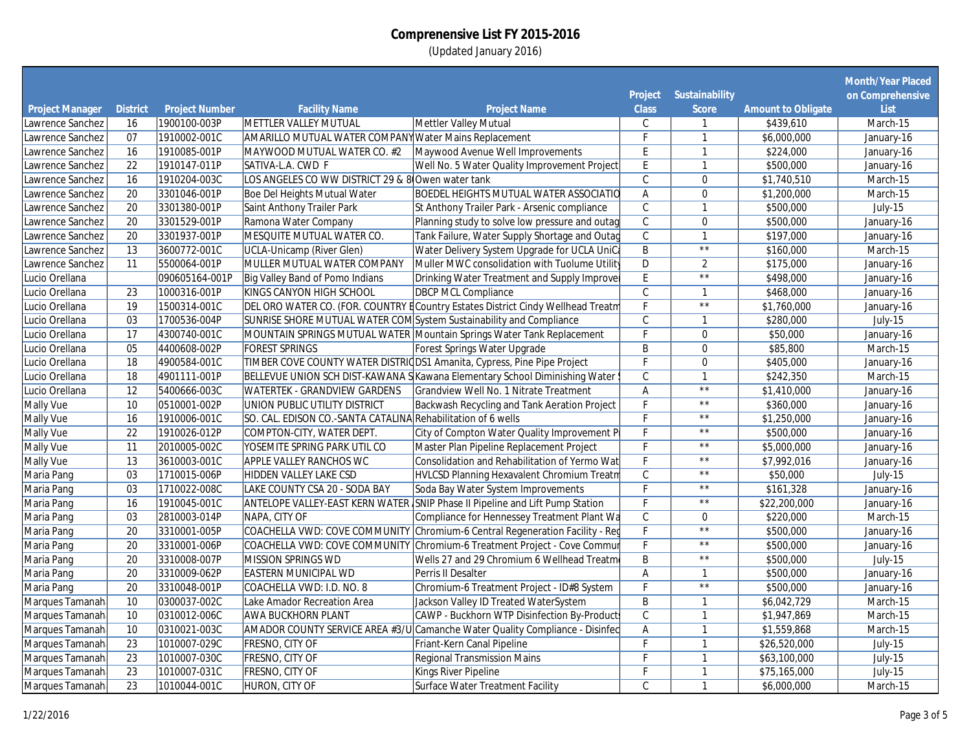|                                      |                       |                                       |                                                                     |                                                                                 |                         |                              |                           | <b>Month/Year Placed</b> |
|--------------------------------------|-----------------------|---------------------------------------|---------------------------------------------------------------------|---------------------------------------------------------------------------------|-------------------------|------------------------------|---------------------------|--------------------------|
|                                      |                       |                                       |                                                                     |                                                                                 | <b>Project</b>          | <b>Sustainability</b>        | <b>Amount to Obligate</b> | on Comprehensive         |
| <b>Project Manager</b>               | <b>District</b><br>16 | <b>Project Number</b><br>1900100-003P | <b>Facility Name</b><br>METTLER VALLEY MUTUAL                       | <b>Project Name</b><br>Mettler Valley Mutual                                    | <b>Class</b><br>C       | <b>Score</b>                 | \$439,610                 | List                     |
| Lawrence Sanchez<br>Lawrence Sanchez | 07                    | 1910002-001C                          | <b>AMARILLO MUTUAL WATER COMPANY Water Mains Replacement</b>        |                                                                                 | F                       | $\mathbf{1}$<br>$\mathbf{1}$ | \$6,000,000               | March-15                 |
|                                      | $\overline{16}$       |                                       |                                                                     |                                                                                 | E                       | $\mathbf{1}$                 |                           | January-16               |
| Lawrence Sanchez                     |                       | 1910085-001P                          | MAYWOOD MUTUAL WATER CO. #2                                         | Maywood Avenue Well Improvements                                                |                         |                              | \$224,000                 | January-16               |
| Lawrence Sanchez                     | $\overline{22}$       | 1910147-011P                          | SATIVA-L.A. CWD F                                                   | Well No. 5 Water Quality Improvement Project                                    | E                       | $\mathbf{1}$                 | \$500,000                 | January-16               |
| Lawrence Sanchez                     | 16                    | 1910204-003C                          | LOS ANGELES CO WW DISTRICT 29 & 8 Owen water tank                   |                                                                                 | $\mathcal{C}$           | $\mathbf 0$                  | \$1,740,510               | March-15                 |
| Lawrence Sanchez                     | 20                    | 3301046-001P                          | Boe Del Heights Mutual Water                                        | <b>BOEDEL HEIGHTS MUTUAL WATER ASSOCIATIO</b>                                   | $\mathsf A$             | $\mathbf 0$                  | \$1,200,000               | March-15                 |
| Lawrence Sanchez                     | $\overline{20}$       | 3301380-001P                          | Saint Anthony Trailer Park                                          | St Anthony Trailer Park - Arsenic compliance                                    | $\mathsf{C}$            | $\mathbf{1}$                 | \$500,000                 | $July-15$                |
| Lawrence Sanchez                     | $\overline{20}$       | 3301529-001P                          | Ramona Water Company                                                | Planning study to solve low pressure and outag                                  | $\overline{C}$          | $\boldsymbol{0}$             | \$500,000                 | January-16               |
| Lawrence Sanchez                     | $\overline{20}$       | 3301937-001P                          | MESQUITE MUTUAL WATER CO.                                           | Tank Failure, Water Supply Shortage and Outag                                   | $\overline{C}$          | $\mathbf{1}$                 | \$197,000                 | January-16               |
| Lawrence Sanchez                     | $\overline{13}$       | 3600772-001C                          | <b>UCLA-Unicamp (River Glen)</b>                                    | Water Delivery System Upgrade for UCLA UniCa                                    | $\overline{B}$          | $\overline{**}$              | \$160,000                 | March-15                 |
| Lawrence Sanchez                     | 11                    | 5500064-001P                          | MULLER MUTUAL WATER COMPANY                                         | Muller MWC consolidation with Tuolume Utility                                   | D                       | $\overline{2}$               | \$175,000                 | January-16               |
| Lucio Orellana                       |                       | 090605164-001P                        | Big Valley Band of Pomo Indians                                     | Drinking Water Treatment and Supply Improver                                    | $\overline{E}$          | $\overline{**}$              | \$498,000                 | January-16               |
| Lucio Orellana                       | 23                    | 1000316-001P                          | <b>KINGS CANYON HIGH SCHOOL</b>                                     | <b>DBCP MCL Compliance</b>                                                      | $\mathsf{C}$            | $\mathbf{1}$                 | \$468,000                 | January-16               |
| Lucio Orellana                       | $\overline{19}$       | 1500314-001C                          |                                                                     | DEL ORO WATER CO. (FOR. COUNTRY ECountry Estates District Cindy Wellhead Treatm | E                       | $\overline{**}$              | \$1,760,000               | January-16               |
| Lucio Orellana                       | 03                    | 1700536-004P                          | SUNRISE SHORE MUTUAL WATER COM System Sustainability and Compliance |                                                                                 | $\mathcal{C}$           | $\mathbf{1}$                 | \$280,000                 | July-15                  |
| Lucio Orellana                       | $\overline{17}$       | 4300740-001C                          |                                                                     | MOUNTAIN SPRINGS MUTUAL WATER Mountain Springs Water Tank Replacement           | $\overline{\mathsf{r}}$ | $\mathbf 0$                  | \$50,000                  | January-16               |
| Lucio Orellana                       | 05                    | 4400608-002P                          | <b>FOREST SPRINGS</b>                                               | Forest Springs Water Upgrade                                                    | B                       | $\mathbf 0$                  | \$85,800                  | March-15                 |
| Lucio Orellana                       | 18                    | 4900584-001C                          |                                                                     | TIMBER COVE COUNTY WATER DISTRIC DS1 Amanita, Cypress, Pine Pipe Project        | Е                       | $\mathbf 0$                  | \$405,000                 | January-16               |
| Lucio Orellana                       | $\overline{18}$       | 4901111-001P                          |                                                                     | BELLEVUE UNION SCH DIST-KAWANA S Kawana Elementary School Diminishing Water !   | $\mathsf{C}$            | $\mathbf{1}$                 | \$242,350                 | March-15                 |
| Lucio Orellana                       | $\overline{12}$       | 5400666-003C                          | <b>WATERTEK - GRANDVIEW GARDENS</b>                                 | Grandview Well No. 1 Nitrate Treatment                                          | A                       | $\star\star$                 | \$1,410,000               | January-16               |
| Mally Vue                            | 10                    | 0510001-002P                          | UNION PUBLIC UTILITY DISTRICT                                       | Backwash Recycling and Tank Aeration Project                                    | F                       | $\star\star$                 | \$360,000                 | January-16               |
| Mally Vue                            | 16                    | 1910006-001C                          | SO. CAL. EDISON CO.-SANTA CATALINA Rehabilitation of 6 wells        |                                                                                 | F                       | $\star\,\star$               | \$1,250,000               | January-16               |
| Mally Vue                            | $\overline{22}$       | 1910026-012P                          | COMPTON-CITY, WATER DEPT.                                           | City of Compton Water Quality Improvement P                                     | F                       | $\star\star$                 | \$500,000                 | January-16               |
| Mally Vue                            | 11                    | 2010005-002C                          | YOSEMITE SPRING PARK UTIL CO                                        | Master Plan Pipeline Replacement Project                                        |                         | $\star\star$                 | \$5,000,000               | January-16               |
| Mally Vue                            | $\overline{13}$       | 3610003-001C                          | APPLE VALLEY RANCHOS WC                                             | Consolidation and Rehabilitation of Yermo Wat                                   | F.                      | $\star\,\star$               | \$7,992,016               | January-16               |
| Maria Pang                           | 03                    | 1710015-006P                          | HIDDEN VALLEY LAKE CSD                                              | HVLCSD Planning Hexavalent Chromium Treatm                                      | $\mathsf{C}$            | $\star\,\star$               | \$50,000                  | July-15                  |
| Maria Pang                           | 03                    | 1710022-008C                          | LAKE COUNTY CSA 20 - SODA BAY                                       | Soda Bay Water System Improvements                                              | F                       | $\star\,\star$               | \$161,328                 | January-16               |
| Maria Pang                           | 16                    | 1910045-001C                          |                                                                     | ANTELOPE VALLEY-EAST KERN WATER SNIP Phase II Pipeline and Lift Pump Station    | F                       | $\star\star$                 | \$22,200,000              | January-16               |
| Maria Pang                           | $\overline{03}$       | 2810003-014P                          | NAPA, CITY OF                                                       | Compliance for Hennessey Treatment Plant Wa                                     | $\overline{C}$          | $\mathbf{0}$                 | \$220,000                 | March-15                 |
| Maria Pang                           | 20                    | 3310001-005P                          |                                                                     | COACHELLA VWD: COVE COMMUNITY Chromium-6 Central Regeneration Facility - Reg    | F                       | $\star\star$                 | \$500,000                 | January-16               |
| <b>Maria Pang</b>                    | $\overline{20}$       | 3310001-006P                          |                                                                     | COACHELLA VWD: COVE COMMUNITY Chromium-6 Treatment Project - Cove Commur        | $\overline{F}$          | $\star\,\star$               | \$500,000                 | January-16               |
| <b>Maria Pang</b>                    | $\overline{20}$       | 3310008-007P                          | <b>MISSION SPRINGS WD</b>                                           | Wells 27 and 29 Chromium 6 Wellhead Treatm                                      | B                       | $\star\star$                 | \$500,000                 | July-15                  |
| Maria Pang                           | $\overline{20}$       | 3310009-062P                          | <b>EASTERN MUNICIPAL WD</b>                                         | Perris II Desalter                                                              | Α                       | $\mathbf{1}$                 | \$500,000                 | January-16               |
| Maria Pang                           | $\overline{20}$       | 3310048-001P                          | COACHELLA VWD: I.D. NO. 8                                           | Chromium-6 Treatment Project - ID#8 System                                      | F                       | $\star\star$                 | \$500,000                 | January-16               |
| Marques Tamanah                      | 10                    | 0300037-002C                          | Lake Amador Recreation Area                                         | Jackson Valley ID Treated WaterSystem                                           | $\sf B$                 | $\mathbf{1}$                 | \$6,042,729               | March-15                 |
| Marques Tamanah                      | 10                    | 0310012-006C                          | <b>AWA BUCKHORN PLANT</b>                                           | CAWP - Buckhorn WTP Disinfection By-Product                                     | $\mathsf{C}$            | $\mathbf{1}$                 | \$1,947,869               | March-15                 |
| Marques Tamanah                      | 10                    | 0310021-003C                          |                                                                     | AMADOR COUNTY SERVICE AREA #3/U Camanche Water Quality Compliance - Disinfec    | Α                       | $\mathbf{1}$                 | \$1,559,868               | March-15                 |
| Marques Tamanah                      | $\overline{23}$       | 1010007-029C                          | <b>FRESNO, CITY OF</b>                                              | Friant-Kern Canal Pipeline                                                      | F                       | $\mathbf{1}$                 | \$26,520,000              |                          |
|                                      | $\overline{23}$       | 1010007-030C                          | <b>FRESNO, CITY OF</b>                                              | <b>Regional Transmission Mains</b>                                              | F                       | $\mathbf{1}$                 | \$63,100,000              | July-15<br>$July-15$     |
| Marques Tamanah                      | $\overline{23}$       | 1010007-031C                          |                                                                     |                                                                                 | F                       | $\mathbf{1}$                 |                           |                          |
| Marques Tamanah                      |                       |                                       | FRESNO, CITY OF                                                     | Kings River Pipeline                                                            |                         |                              | \$75,165,000              | July-15                  |
| Marques Tamanah                      | $\overline{23}$       | 1010044-001C                          | <b>HURON, CITY OF</b>                                               | Surface Water Treatment Facility                                                | $\mathsf{C}$            | $\mathbf{1}$                 | \$6,000,000               | March-15                 |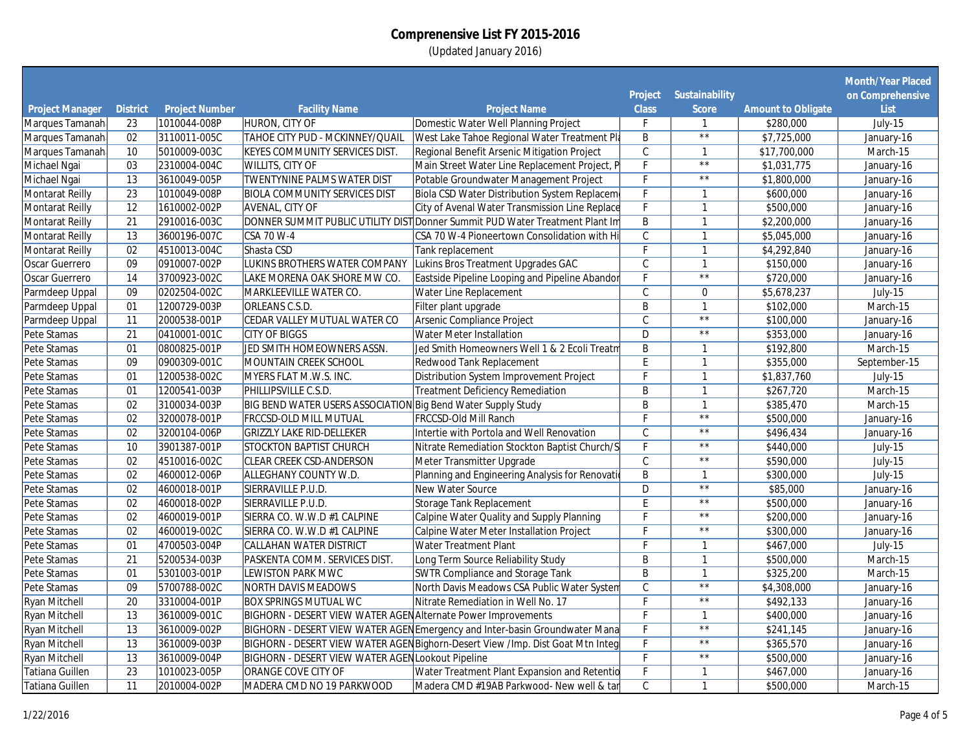|                                           |                 |                                       |                                                               |                                                                                |                   |                              |                                        | <b>Month/Year Placed</b> |
|-------------------------------------------|-----------------|---------------------------------------|---------------------------------------------------------------|--------------------------------------------------------------------------------|-------------------|------------------------------|----------------------------------------|--------------------------|
|                                           |                 |                                       |                                                               |                                                                                | <b>Project</b>    | <b>Sustainability</b>        |                                        | on Comprehensive         |
| <b>Project Manager</b><br>Marques Tamanah | <b>District</b> | <b>Project Number</b><br>1010044-008P | <b>Facility Name</b><br><b>HURON, CITY OF</b>                 | <b>Project Name</b><br>Domestic Water Well Planning Project                    | <b>Class</b><br>F | <b>Score</b><br>$\mathbf{1}$ | <b>Amount to Obligate</b><br>\$280,000 | List<br>July-15          |
| Marques Tamanah                           | 23<br>02        | 3110011-005C                          | <b>TAHOE CITY PUD - MCKINNEY/QUAIL</b>                        | West Lake Tahoe Regional Water Treatment Pla                                   | B                 | $\overline{**}$              | \$7,725,000                            | January-16               |
|                                           | 10              |                                       |                                                               |                                                                                |                   |                              |                                        |                          |
| Marques Tamanah                           |                 | 5010009-003C                          | <b>KEYES COMMUNITY SERVICES DIST.</b>                         | Regional Benefit Arsenic Mitigation Project                                    | $\mathsf{C}$      | $\mathbf{1}$<br>$\star\star$ | \$17,700,000                           | March-15                 |
| Michael Ngai                              | 03              | 2310004-004C                          | <b>WILLITS, CITY OF</b>                                       | Main Street Water Line Replacement Project, P                                  | F                 | $\star\,\star$               | \$1,031,775                            | January-16               |
| Michael Ngai                              | $\overline{13}$ | 3610049-005P                          | <b>TWENTYNINE PALMS WATER DIST</b>                            | Potable Groundwater Management Project                                         | F                 |                              | \$1,800,000                            | January-16               |
| <b>Montarat Reilly</b>                    | 23              | 1010049-008P                          | <b>BIOLA COMMUNITY SERVICES DIST</b>                          | Biola CSD Water Distribution System Replacem                                   | F                 | $\mathbf{1}$                 | \$600,000                              | January-16               |
| <b>Montarat Reilly</b>                    | $\overline{12}$ | 1610002-002P                          | <b>AVENAL, CITY OF</b>                                        | <b>City of Avenal Water Transmission Line Replace</b>                          | F                 | $\mathbf{1}$                 | \$500,000                              | January-16               |
| <b>Montarat Reilly</b>                    | 21              | 2910016-003C                          |                                                               | DONNER SUMMIT PUBLIC UTILITY DIST Donner Summit PUD Water Treatment Plant Im   | B                 | $\mathbf{1}$                 | \$2,200,000                            | January-16               |
| <b>Montarat Reilly</b>                    | $\overline{13}$ | 3600196-007C                          | <b>CSA 70 W-4</b>                                             | CSA 70 W-4 Pioneertown Consolidation with Hi                                   | $\overline{C}$    | $\mathbf{1}$                 | \$5,045,000                            | January-16               |
| <b>Montarat Reilly</b>                    | 02              | 4510013-004C                          | Shasta CSD                                                    | <b>Tank replacement</b>                                                        | F                 | $\mathbf{1}$                 | \$4,292,840                            | January-16               |
| Oscar Guerrero                            | 09              | 0910007-002P                          | LUKINS BROTHERS WATER COMPANY                                 | Lukins Bros Treatment Upgrades GAC                                             | $\overline{C}$    | $\mathbf{1}$                 | \$150,000                              | January-16               |
| <b>Oscar Guerrero</b>                     | $\overline{14}$ | 3700923-002C                          | LAKE MORENA OAK SHORE MW CO.                                  | Eastside Pipeline Looping and Pipeline Abandor                                 | F                 | $\star\,\star$               | \$720,000                              | January-16               |
| Parmdeep Uppal                            | 09              | 0202504-002C                          | MARKLEEVILLE WATER CO.                                        | Water Line Replacement                                                         | $\mathsf{C}$      | $\mathbf 0$                  | \$5,678,237                            | July-15                  |
| Parmdeep Uppal                            | 01              | 1200729-003P                          | <b>ORLEANS C.S.D.</b>                                         | Filter plant upgrade                                                           | B                 | $\mathbf{1}$                 | \$102,000                              | March-15                 |
| Parmdeep Uppal                            | $\overline{11}$ | 2000538-001P                          | CEDAR VALLEY MUTUAL WATER CO                                  | <b>Arsenic Compliance Project</b>                                              | $\mathsf{C}$      | $\star\star$                 | \$100,000                              | January-16               |
| Pete Stamas                               | $\overline{21}$ | 0410001-001C                          | <b>CITY OF BIGGS</b>                                          | <b>Water Meter Installation</b>                                                | $\mathsf{D}$      | $\star\star$                 | \$353,000                              | January-16               |
| Pete Stamas                               | 01              | 0800825-001P                          | JED SMITH HOMEOWNERS ASSN.                                    | Jed Smith Homeowners Well 1 & 2 Ecoli Treatm                                   | B                 | $\mathbf{1}$                 | \$192,800                              | March-15                 |
| Pete Stamas                               | 09              | 0900309-001C                          | MOUNTAIN CREEK SCHOOL                                         | Redwood Tank Replacement                                                       | E                 | $\mathbf{1}$                 | \$355,000                              | September-15             |
| Pete Stamas                               | 01              | 1200538-002C                          | MYERS FLAT M.W.S. INC.                                        | Distribution System Improvement Project                                        | F                 | $\mathbf{1}$                 | \$1,837,760                            | July-15                  |
| Pete Stamas                               | 01              | 1200541-003P                          | PHILLIPSVILLE C.S.D.                                          | <b>Treatment Deficiency Remediation</b>                                        | B                 | $\mathbf{1}$                 | \$267,720                              | March-15                 |
| Pete Stamas                               | 02              | 3100034-003P                          | BIG BEND WATER USERS ASSOCIATION Big Bend Water Supply Study  |                                                                                | B                 | $\mathbf{1}$                 | \$385,470                              | March-15                 |
| Pete Stamas                               | 02              | 3200078-001P                          | <b>FRCCSD-OLD MILL MUTUAL</b>                                 | FRCCSD-Old Mill Ranch                                                          | Е                 | $\overline{**}$              | \$500,000                              | January-16               |
| Pete Stamas                               | 02              | 3200104-006P                          | <b>GRIZZLY LAKE RID-DELLEKER</b>                              | Intertie with Portola and Well Renovation                                      | $\mathsf{C}$      | $\star\star$                 | \$496,434                              | January-16               |
| Pete Stamas                               | 10              | 3901387-001P                          | <b>STOCKTON BAPTIST CHURCH</b>                                | Nitrate Remediation Stockton Baptist Church/S                                  | F                 | $\star\star$                 | \$440,000                              | July- $15$               |
| Pete Stamas                               | 02              | 4510016-002C                          | <b>CLEAR CREEK CSD-ANDERSON</b>                               | Meter Transmitter Upgrade                                                      | $\overline{C}$    | $\star\,\star$               | \$590,000                              | July-15                  |
| Pete Stamas                               | 02              | 4600012-006P                          | <b>ALLEGHANY COUNTY W.D.</b>                                  | Planning and Engineering Analysis for Renovati                                 | B                 | $\mathbf{1}$                 | \$300,000                              | July-15                  |
| Pete Stamas                               | 02              | 4600018-001P                          | SIERRAVILLE P.U.D.                                            | <b>New Water Source</b>                                                        | D                 | $\overline{**}$              | \$85,000                               | January-16               |
| Pete Stamas                               | 02              | 4600018-002P                          | SIERRAVILLE P.U.D.                                            | Storage Tank Replacement                                                       | F                 | $\star\star$                 | \$500,000                              | January-16               |
| Pete Stamas                               | 02              | 4600019-001P                          | SIERRA CO. W.W.D #1 CALPINE                                   | Calpine Water Quality and Supply Planning                                      | F                 | $\star\star$                 | \$200,000                              | January-16               |
| Pete Stamas                               | 02              | 4600019-002C                          | SIERRA CO. W.W.D #1 CALPINE                                   | Calpine Water Meter Installation Project                                       | F                 | $\star\star$                 | \$300,000                              | January-16               |
| Pete Stamas                               | 01              | 4700503-004P                          | <b>CALLAHAN WATER DISTRICT</b>                                | <b>Water Treatment Plant</b>                                                   | F                 | $\mathbf{1}$                 | \$467,000                              | July-15                  |
| Pete Stamas                               | $\overline{21}$ | 5200534-003P                          | PASKENTA COMM. SERVICES DIST.                                 | Long Term Source Reliability Study                                             | B                 | $\mathbf{1}$                 | \$500,000                              | March-15                 |
| Pete Stamas                               | 01              | 5301003-001P                          | <b>LEWISTON PARK MWC</b>                                      | SWTR Compliance and Storage Tank                                               | B                 | $\mathbf{1}$                 | \$325,200                              | March-15                 |
| Pete Stamas                               | 09              | 5700788-002C                          | <b>NORTH DAVIS MEADOWS</b>                                    | North Davis Meadows CSA Public Water System                                    | $\mathsf C$       | $\star\star$                 | \$4,308,000                            | January-16               |
| Ryan Mitchell                             | 20              | 3310004-001P                          | <b>BOX SPRINGS MUTUAL WC</b>                                  | Nitrate Remediation in Well No. 17                                             | F                 | $\star\star$                 | \$492,133                              | January-16               |
| <b>Ryan Mitchell</b>                      | $\overline{13}$ | 3610009-001C                          | BIGHORN - DESERT VIEW WATER AGEN Alternate Power Improvements |                                                                                | F                 | $\mathbf{1}$                 | \$400,000                              | January-16               |
| Ryan Mitchell                             | $\overline{13}$ | 3610009-002P                          |                                                               | BIGHORN - DESERT VIEW WATER AGEN Emergency and Inter-basin Groundwater Mana    | F                 | $\star\star$                 | \$241,145                              | January-16               |
| Ryan Mitchell                             | $\overline{13}$ | 3610009-003P                          |                                                               | BIGHORN - DESERT VIEW WATER AGEN Bighorn-Desert View /Imp. Dist Goat Mtn Integ | F                 | $\star\,\star$               | \$365,570                              | January-16               |
| <b>Ryan Mitchell</b>                      | $\overline{13}$ | 3610009-004P                          | BIGHORN - DESERT VIEW WATER AGEN Lookout Pipeline             |                                                                                | F                 | $\star\star$                 | \$500,000                              | January-16               |
| Tatiana Guillen                           | $\overline{23}$ | 1010023-005P                          | ORANGE COVE CITY OF                                           | Water Treatment Plant Expansion and Retentio                                   | F                 | $\mathbf{1}$                 | \$467,000                              | January-16               |
| Tatiana Guillen                           | $\overline{11}$ |                                       |                                                               |                                                                                | $\mathsf{C}$      | $\mathbf{1}$                 |                                        |                          |
|                                           |                 | 2010004-002P                          | MADERA CMD NO 19 PARKWOOD                                     | Madera CMD #19AB Parkwood- New well & tar                                      |                   |                              | \$500,000                              | March-15                 |